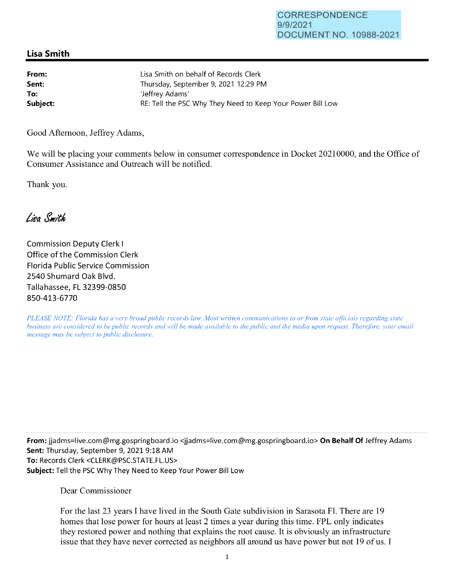## **Lisa Smith**

| From:    | Lisa Smith on behalf of Records Clerk                      |
|----------|------------------------------------------------------------|
| Sent:    | Thursday, September 9, 2021 12:29 PM                       |
| To:      | 'Jeffrey Adams'                                            |
| Subject: | RE: Tell the PSC Why They Need to Keep Your Power Bill Low |

Good Afternoon, Jeffrey Adams,

We will be placing your comments below in consumer correspondence in Docket 20210000, and the Office of Consumer Assistance and Outreach will be notified.

Thank you.

Lisa Smith

Commission Deputy Clerk I Office of the Commission Clerk Florida Public Service Commission 2540 Shumard Oak Blvd. Tallahassee, FL 32399-0850 850-413-6770

*PLEASE NOTE: Florida has a very broad public records law. Most written communications to or from state officials regarding state business are considered to be public records and will be made available to the public and the media upon request. Therefore, your email message may be subject to public disclosure.* 

**From:** jjadms=live.com@mg.gospringboard.io <jjadms=live.com@mg.gospringboard.io> **On Behalf Of** Jeffrey Adams **Sent:** Thursday, September 9, 2021 9:18 AM **To:** Records Clerk <CLERK@PSC.STATE.FL.US> **Subject:** Tell the PSC Why They Need to Keep Your Power Bill Low

## Dear Commissioner

For the last 23 years I have lived in the South Gate subdivision in Sarasota Fl. There are 19 homes that lose power for hours at least 2 times a year during this time. FPL only indicates they restored power and nothing that explains the root cause. It is obviously an infrastructure issue that they have never corrected as neighbors all around us have power but not 19 of us. I